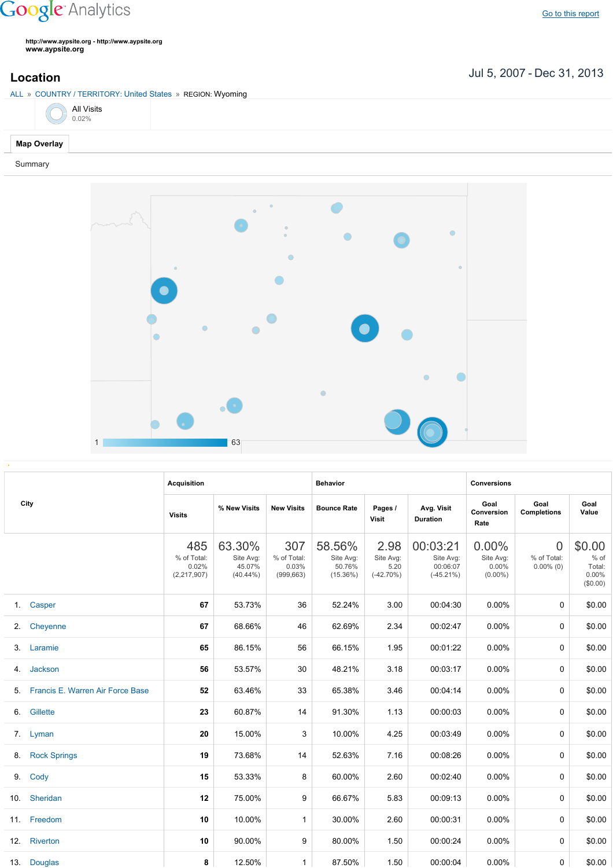## **Google** Analytics

**http://www.aypsite.org http://www.aypsite.org www.aypsite.org**

**Location** Jul 5, 2007 - Dec 31, 2013

| ALL » COUNTRY / TERRITORY: United States » REGION: Wyoming |  |  |  |  |  |  |  |
|------------------------------------------------------------|--|--|--|--|--|--|--|
| <b>All Visits</b><br>0.02%                                 |  |  |  |  |  |  |  |
| <b>Map Overlay</b>                                         |  |  |  |  |  |  |  |

Summary



| City |                                  | <b>Acquisition</b>                         |                                              |                                           | <b>Behavior</b>                              |                                           |                                                   | <b>Conversions</b>                           |                                               |                                                    |
|------|----------------------------------|--------------------------------------------|----------------------------------------------|-------------------------------------------|----------------------------------------------|-------------------------------------------|---------------------------------------------------|----------------------------------------------|-----------------------------------------------|----------------------------------------------------|
|      |                                  | <b>Visits</b>                              | % New Visits                                 | <b>New Visits</b>                         | <b>Bounce Rate</b>                           | Pages /<br>Visit                          | Avg. Visit<br><b>Duration</b>                     | Goal<br>Conversion<br>Rate                   | Goal<br><b>Completions</b>                    | Goal<br>Value                                      |
|      |                                  | 485<br>% of Total:<br>0.02%<br>(2,217,907) | 63.30%<br>Site Avg:<br>45.07%<br>$(40.44\%)$ | 307<br>% of Total:<br>0.03%<br>(999, 663) | 58.56%<br>Site Avg:<br>50.76%<br>$(15.36\%)$ | 2.98<br>Site Avg:<br>5.20<br>$(-42.70\%)$ | 00:03:21<br>Site Avg:<br>00:06:07<br>$(-45.21\%)$ | 0.00%<br>Site Avg:<br>$0.00\%$<br>$(0.00\%)$ | $\overline{0}$<br>% of Total:<br>$0.00\%$ (0) | \$0.00<br>$%$ of<br>Total:<br>$0.00\%$<br>(\$0.00) |
| 1.   | Casper                           | 67                                         | 53.73%                                       | 36                                        | 52.24%                                       | 3.00                                      | 00:04:30                                          | 0.00%                                        | $\Omega$                                      | \$0.00                                             |
| 2.   | Cheyenne                         | 67                                         | 68.66%                                       | 46                                        | 62.69%                                       | 2.34                                      | 00:02:47                                          | 0.00%                                        | 0                                             | \$0.00                                             |
| 3.   | Laramie                          | 65                                         | 86.15%                                       | 56                                        | 66.15%                                       | 1.95                                      | 00:01:22                                          | 0.00%                                        | $\Omega$                                      | \$0.00                                             |
| 4.   | Jackson                          | 56                                         | 53.57%                                       | 30                                        | 48.21%                                       | 3.18                                      | 00:03:17                                          | 0.00%                                        | $\Omega$                                      | \$0.00                                             |
| 5.   | Francis E. Warren Air Force Base | 52                                         | 63.46%                                       | 33                                        | 65.38%                                       | 3.46                                      | 00:04:14                                          | 0.00%                                        | $\Omega$                                      | \$0.00                                             |
| 6.   | Gillette                         | 23                                         | 60.87%                                       | 14                                        | 91.30%                                       | 1.13                                      | 00:00:03                                          | 0.00%                                        | $\Omega$                                      | \$0.00                                             |
|      | 7. Lyman                         | 20                                         | 15.00%                                       | 3                                         | 10.00%                                       | 4.25                                      | 00:03:49                                          | 0.00%                                        | 0                                             | \$0.00                                             |
| 8.   | <b>Rock Springs</b>              | 19                                         | 73.68%                                       | 14                                        | 52.63%                                       | 7.16                                      | 00:08:26                                          | 0.00%                                        | $\Omega$                                      | \$0.00                                             |
| 9.   | Cody                             | 15                                         | 53.33%                                       | 8                                         | 60.00%                                       | 2.60                                      | 00:02:40                                          | 0.00%                                        | 0                                             | \$0.00                                             |
| 10.  | Sheridan                         | 12                                         | 75.00%                                       | 9                                         | 66.67%                                       | 5.83                                      | 00:09:13                                          | 0.00%                                        | $\Omega$                                      | \$0.00                                             |
|      | 11. Freedom                      | 10                                         | 10.00%                                       | $\mathbf{1}$                              | 30.00%                                       | 2.60                                      | 00:00:31                                          | 0.00%                                        | 0                                             | \$0.00                                             |
|      | 12. Riverton                     | 10                                         | 90.00%                                       | 9                                         | 80.00%                                       | 1.50                                      | 00:00:24                                          | 0.00%                                        | $\Omega$                                      | \$0.00                                             |
|      | 13. Douglas                      | 8                                          | 12.50%                                       | $\mathbf{1}$                              | 87.50%                                       | 1.50                                      | 00:00:04                                          | $0.00\%$                                     | 0                                             | \$0.00                                             |